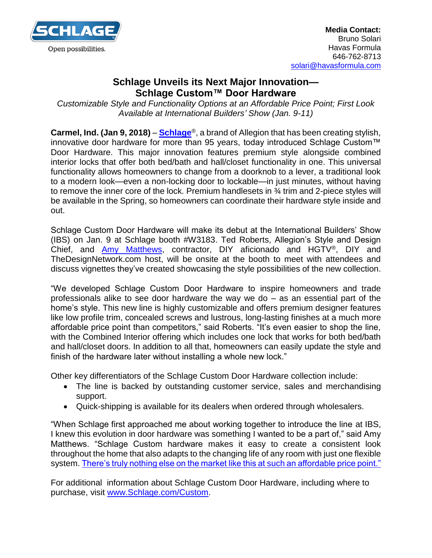

## **Schlage Unveils its Next Major Innovation— Schlage Custom™ Door Hardware**

*Customizable Style and Functionality Options at an Affordable Price Point; First Look Available at International Builders' Show (Jan. 9-11)*

**Carmel, Ind. (Jan 9, 2018)** – **[Schlage](http://www.schlage.com/)**®, a brand of Allegion that has been creating stylish, innovative door hardware for more than 95 years, today introduced Schlage Custom™ Door Hardware. This major innovation features premium style alongside combined interior locks that offer both bed/bath and hall/closet functionality in one. This universal functionality allows homeowners to change from a doorknob to a lever, a traditional look to a modern look—even a non-locking door to lockable—in just minutes, without having to remove the inner core of the lock. Premium handlesets in ¾ trim and 2-piece styles will be available in the Spring, so homeowners can coordinate their hardware style inside and out.

Schlage Custom Door Hardware will make its debut at the International Builders' Show (IBS) on Jan. 9 at Schlage booth #W3183. Ted Roberts, Allegion's Style and Design Chief, and [Amy Matthews,](http://amymatthews.com/) contractor, DIY aficionado and HGTV®, DIY and TheDesignNetwork.com host, will be onsite at the booth to meet with attendees and discuss vignettes they've created showcasing the style possibilities of the new collection.

"We developed Schlage Custom Door Hardware to inspire homeowners and trade professionals alike to see door hardware the way we do – as an essential part of the home's style. This new line is highly customizable and offers premium designer features like low profile trim, concealed screws and lustrous, long-lasting finishes at a much more affordable price point than competitors," said Roberts. "It's even easier to shop the line, with the Combined Interior offering which includes one lock that works for both bed/bath and hall/closet doors. In addition to all that, homeowners can easily update the style and finish of the hardware later without installing a whole new lock."

Other key differentiators of the Schlage Custom Door Hardware collection include:

- The line is backed by outstanding customer service, sales and merchandising support.
- Quick-shipping is available for its dealers when ordered through wholesalers.

"When Schlage first approached me about working together to introduce the line at IBS, I knew this evolution in door hardware was something I wanted to be a part of," said Amy Matthews. "Schlage Custom hardware makes it easy to create a consistent look throughout the home that also adapts to the changing life of any room with just one flexible system. [There's truly nothing else on the market like this at such an affordable price point."](https://www.youtube.com/watch?v=UqdSHDL75eA)

For additional information about Schlage Custom Door Hardware, including where to purchase, visit [www.Schlage.com/](http://www.schlage.com/)Custom.